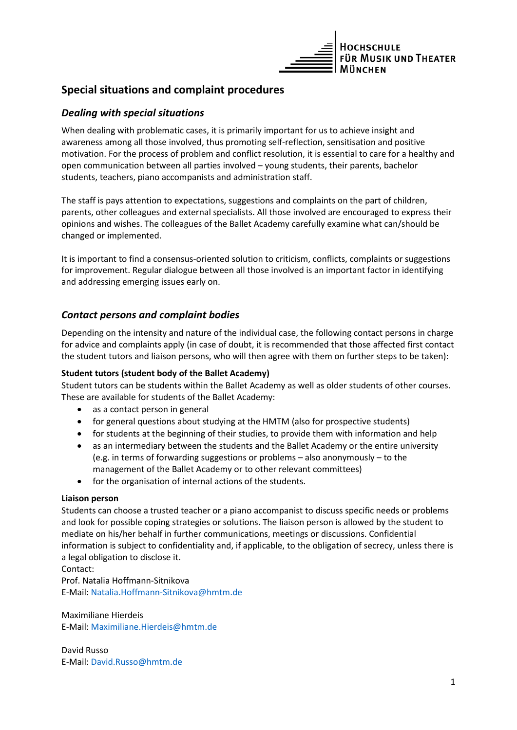

# **Special situations and complaint procedures**

# *Dealing with special situations*

When dealing with problematic cases, it is primarily important for us to achieve insight and awareness among all those involved, thus promoting self-reflection, sensitisation and positive motivation. For the process of problem and conflict resolution, it is essential to care for a healthy and open communication between all parties involved – young students, their parents, bachelor students, teachers, piano accompanists and administration staff.

The staff is pays attention to expectations, suggestions and complaints on the part of children, parents, other colleagues and external specialists. All those involved are encouraged to express their opinions and wishes. The colleagues of the Ballet Academy carefully examine what can/should be changed or implemented.

It is important to find a consensus-oriented solution to criticism, conflicts, complaints or suggestions for improvement. Regular dialogue between all those involved is an important factor in identifying and addressing emerging issues early on.

# *Contact persons and complaint bodies*

Depending on the intensity and nature of the individual case, the following contact persons in charge for advice and complaints apply (in case of doubt, it is recommended that those affected first contact the student tutors and liaison persons, who will then agree with them on further steps to be taken):

### **Student tutors (student body of the Ballet Academy)**

Student tutors can be students within the Ballet Academy as well as older students of other courses. These are available for students of the Ballet Academy:

- as a contact person in general
- for general questions about studying at the HMTM (also for prospective students)
- for students at the beginning of their studies, to provide them with information and help
- as an intermediary between the students and the Ballet Academy or the entire university (e.g. in terms of forwarding suggestions or problems – also anonymously – to the management of the Ballet Academy or to other relevant committees)
- for the organisation of internal actions of the students.

### **Liaison person**

Students can choose a trusted teacher or a piano accompanist to discuss specific needs or problems and look for possible coping strategies or solutions. The liaison person is allowed by the student to mediate on his/her behalf in further communications, meetings or discussions. Confidential information is subject to confidentiality and, if applicable, to the obligation of secrecy, unless there is a legal obligation to disclose it.

Contact:

Prof. Natalia Hoffmann-Sitnikova E-Mail[: Natalia.Hoffmann-Sitnikova@hmtm.de](mailto:Natalia.Hoffmann-Sitnikova@hmtm.de)

Maximiliane Hierdeis E-Mail: [Maximiliane.Hierdeis@hmtm.de](mailto:Maximiliane.Hierdeis@hmtm.de)

David Russo E-Mail: [David.Russo@hmtm.de](mailto:David.Russo@hmtm.de)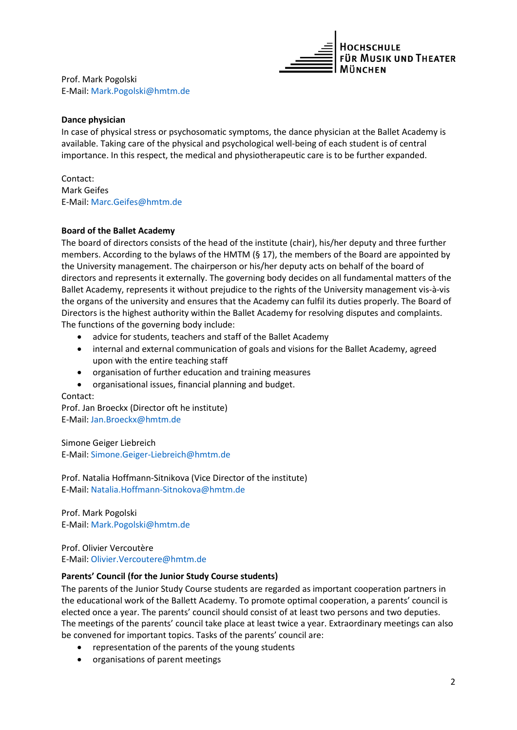

Prof. Mark Pogolski E-Mail: [Mark.Pogolski@hmtm.de](mailto:Mark.Pogolski@hmtm.de)

### **Dance physician**

In case of physical stress or psychosomatic symptoms, the dance physician at the Ballet Academy is available. Taking care of the physical and psychological well-being of each student is of central importance. In this respect, the medical and physiotherapeutic care is to be further expanded.

Contact: Mark Geifes E-Mail: Marc.Geifes@hmtm.de

### **Board of the Ballet Academy**

The board of directors consists of the head of the institute (chair), his/her deputy and three further members. According to the bylaws of the HMTM ( $\S$  17), the members of the Board are appointed by the University management. The chairperson or his/her deputy acts on behalf of the board of directors and represents it externally. The governing body decides on all fundamental matters of the Ballet Academy, represents it without prejudice to the rights of the University management vis-à-vis the organs of the university and ensures that the Academy can fulfil its duties properly. The Board of Directors is the highest authority within the Ballet Academy for resolving disputes and complaints. The functions of the governing body include:

- advice for students, teachers and staff of the Ballet Academy
- internal and external communication of goals and visions for the Ballet Academy, agreed upon with the entire teaching staff
- organisation of further education and training measures
- organisational issues, financial planning and budget.

### Contact:

Prof. Jan Broeckx (Director oft he institute) E-Mail: Jan.Broeckx@hmtm.de

Simone Geiger Liebreich E-Mail[: Simone.Geiger-Liebreich@hmtm.de](mailto:Simone.Geiger-Liebreich@hmtm.de)

Prof. Natalia Hoffmann-Sitnikova (Vice Director of the institute) E-Mail[: Natalia.Hoffmann-Sitnokova@hmtm.de](mailto:Natalia.Hoffmann-Sitnokova@hmtm.de)

Prof. Mark Pogolski E-Mail[: Mark.Pogolski@hmtm.de](mailto:Mark.Pogolski@hmtm.de)

Prof. Olivier Vercoutère E-Mail: Olivier.Vercoutere@hmtm.de

### **Parents' Council (for the Junior Study Course students)**

The parents of the Junior Study Course students are regarded as important cooperation partners in the educational work of the Ballett Academy. To promote optimal cooperation, a parents' council is elected once a year. The parents' council should consist of at least two persons and two deputies. The meetings of the parents' council take place at least twice a year. Extraordinary meetings can also be convened for important topics. Tasks of the parents' council are:

- representation of the parents of the young students
- organisations of parent meetings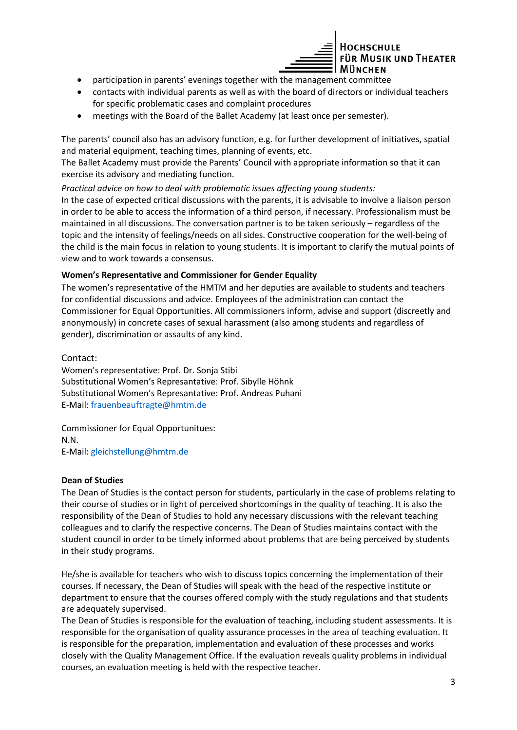

- participation in parents' evenings together with the management committee
- contacts with individual parents as well as with the board of directors or individual teachers for specific problematic cases and complaint procedures
- meetings with the Board of the Ballet Academy (at least once per semester).

The parents' council also has an advisory function, e.g. for further development of initiatives, spatial and material equipment, teaching times, planning of events, etc.

The Ballet Academy must provide the Parents' Council with appropriate information so that it can exercise its advisory and mediating function.

*Practical advice on how to deal with problematic issues affecting young students:* In the case of expected critical discussions with the parents, it is advisable to involve a liaison person in order to be able to access the information of a third person, if necessary. Professionalism must be maintained in all discussions. The conversation partner is to be taken seriously – regardless of the topic and the intensity of feelings/needs on all sides. Constructive cooperation for the well-being of

the child is the main focus in relation to young students. It is important to clarify the mutual points of view and to work towards a consensus.

### **Women's Representative and Commissioner for Gender Equality**

The women's representative of the HMTM and her deputies are available to students and teachers for confidential discussions and advice. Employees of the administration can contact the Commissioner for Equal Opportunities. All commissioners inform, advise and support (discreetly and anonymously) in concrete cases of sexual harassment (also among students and regardless of gender), discrimination or assaults of any kind.

### Contact:

Women's representative: Prof. Dr. Sonja Stibi Substitutional Women's Represantative: Prof. Sibylle Höhnk Substitutional Women's Represantative: Prof. Andreas Puhani E-Mail: frauenbeauftragte@hmtm.de

Commissioner for Equal Opportunitues: N.N. E-Mail: gleichstellung@hmtm.de

### **Dean of Studies**

The Dean of Studies is the contact person for students, particularly in the case of problems relating to their course of studies or in light of perceived shortcomings in the quality of teaching. It is also the responsibility of the Dean of Studies to hold any necessary discussions with the relevant teaching colleagues and to clarify the respective concerns. The Dean of Studies maintains contact with the student council in order to be timely informed about problems that are being perceived by students in their study programs.

He/she is available for teachers who wish to discuss topics concerning the implementation of their courses. If necessary, the Dean of Studies will speak with the head of the respective institute or department to ensure that the courses offered comply with the study regulations and that students are adequately supervised.

The Dean of Studies is responsible for the evaluation of teaching, including student assessments. It is responsible for the organisation of quality assurance processes in the area of teaching evaluation. It is responsible for the preparation, implementation and evaluation of these processes and works closely with the Quality Management Office. If the evaluation reveals quality problems in individual courses, an evaluation meeting is held with the respective teacher.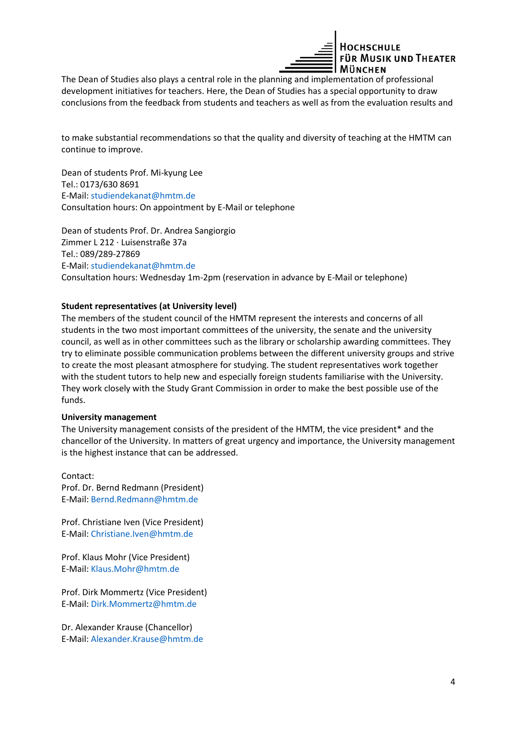

The Dean of Studies also plays a central role in the planning and implementation of professional development initiatives for teachers. Here, the Dean of Studies has a special opportunity to draw conclusions from the feedback from students and teachers as well as from the evaluation results and

to make substantial recommendations so that the quality and diversity of teaching at the HMTM can continue to improve.

Dean of students Prof. Mi-kyung Lee Tel.: 0173/630 8691 E-Mail: studiendekanat@hmtm.de Consultation hours: On appointment by E-Mail or telephone

Dean of students Prof. Dr. Andrea Sangiorgio Zimmer L 212 · Luisenstraße 37a Tel.: 089/289-27869 E-Mail: studiendekanat@hmtm.de Consultation hours: Wednesday 1m-2pm (reservation in advance by E-Mail or telephone)

### **Student representatives (at University level)**

The members of the student council of the HMTM represent the interests and concerns of all students in the two most important committees of the university, the senate and the university council, as well as in other committees such as the library or scholarship awarding committees. They try to eliminate possible communication problems between the different university groups and strive to create the most pleasant atmosphere for studying. The student representatives work together with the student tutors to help new and especially foreign students familiarise with the University. They work closely with the Study Grant Commission in order to make the best possible use of the funds.

### **University management**

The University management consists of the president of the HMTM, the vice president\* and the chancellor of the University. In matters of great urgency and importance, the University management is the highest instance that can be addressed.

Contact: Prof. Dr. Bernd Redmann (President) E-Mail: Bernd.Redmann@hmtm.de

Prof. Christiane Iven (Vice President) E-Mail: Christiane.Iven@hmtm.de

Prof. Klaus Mohr (Vice President) E-Mail[: Klaus.Mohr@hmtm.de](mailto:Klaus.Mohr@hmtm.de)

Prof. Dirk Mommertz (Vice President) E-Mail[: Dirk.Mommertz@hmtm.de](mailto:Dirk.Mommertz@hmtm.de)

Dr. Alexander Krause (Chancellor) E-Mail: Alexander.Krause@hmtm.de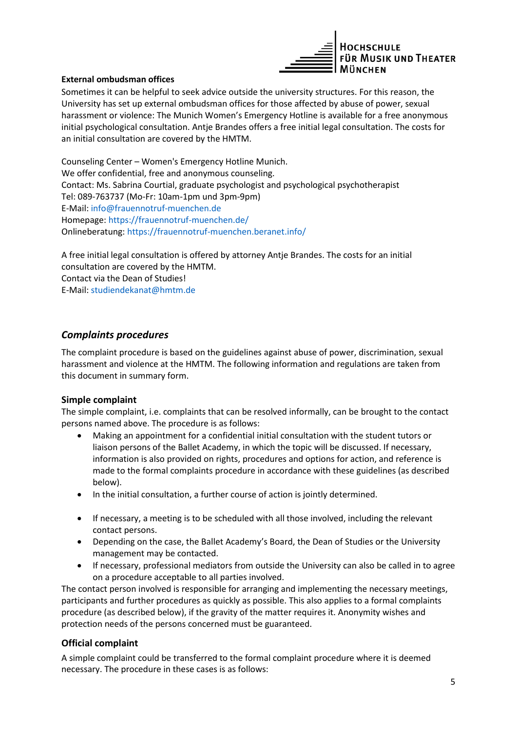

### **External ombudsman offices**

Sometimes it can be helpful to seek advice outside the university structures. For this reason, the University has set up external ombudsman offices for those affected by abuse of power, sexual harassment or violence: The Munich Women's Emergency Hotline is available for a free anonymous initial psychological consultation. Antje Brandes offers a free initial legal consultation. The costs for an initial consultation are covered by the HMTM.

Counseling Center – Women's Emergency Hotline Munich. We offer confidential, free and anonymous counseling. Contact: Ms. Sabrina Courtial, graduate psychologist and psychological psychotherapist Tel: 089-763737 (Mo-Fr: 10am-1pm und 3pm-9pm) E-Mail[: info@frauennotruf-muenchen.de](mailto:info@frauennotruf-muenchen.de) Homepage: https://frauennotruf-muenchen.de/ Onlineberatung:<https://frauennotruf-muenchen.beranet.info/>

A free initial legal consultation is offered by attorney Antje Brandes. The costs for an initial consultation are covered by the HMTM. Contact via the Dean of Studies! E-Mail: studiendekanat@hmtm.de

# *Complaints procedures*

The complaint procedure is based on the guidelines against abuse of power, discrimination, sexual harassment and violence at the HMTM. The following information and regulations are taken from this document in summary form.

### **Simple complaint**

The simple complaint, i.e. complaints that can be resolved informally, can be brought to the contact persons named above. The procedure is as follows:

- Making an appointment for a confidential initial consultation with the student tutors or liaison persons of the Ballet Academy, in which the topic will be discussed. If necessary, information is also provided on rights, procedures and options for action, and reference is made to the formal complaints procedure in accordance with these guidelines (as described below).
- In the initial consultation, a further course of action is jointly determined.
- If necessary, a meeting is to be scheduled with all those involved, including the relevant contact persons.
- Depending on the case, the Ballet Academy's Board, the Dean of Studies or the University management may be contacted.
- If necessary, professional mediators from outside the University can also be called in to agree on a procedure acceptable to all parties involved.

The contact person involved is responsible for arranging and implementing the necessary meetings, participants and further procedures as quickly as possible. This also applies to a formal complaints procedure (as described below), if the gravity of the matter requires it. Anonymity wishes and protection needs of the persons concerned must be guaranteed.

### **Official complaint**

A simple complaint could be transferred to the formal complaint procedure where it is deemed necessary. The procedure in these cases is as follows: